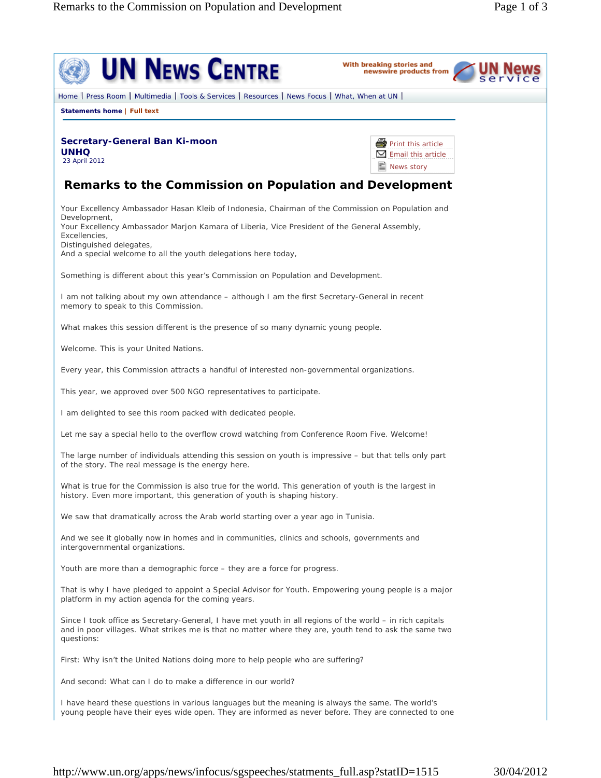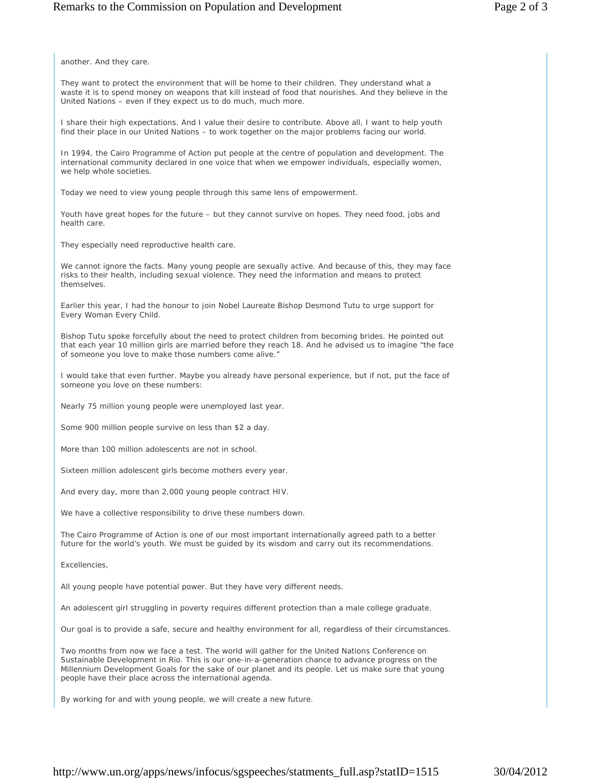another. And they care.

They want to protect the environment that will be home to their children. They understand what a waste it is to spend money on weapons that kill instead of food that nourishes. And they believe in the United Nations – even if they expect us to do much, much more.

I share their high expectations. And I value their desire to contribute. Above all, I want to help youth find their place in our United Nations – to work together on the major problems facing our world.

In 1994, the Cairo Programme of Action put people at the centre of population and development. The international community declared in one voice that when we empower individuals, especially women, we help whole societies.

Today we need to view young people through this same lens of empowerment.

Youth have great hopes for the future – but they cannot survive on hopes. They need food, jobs and health care.

They especially need reproductive health care.

We cannot ignore the facts. Many young people are sexually active. And because of this, they may face risks to their health, including sexual violence. They need the information and means to protect themselves.

Earlier this year, I had the honour to join Nobel Laureate Bishop Desmond Tutu to urge support for Every Woman Every Child.

Bishop Tutu spoke forcefully about the need to protect children from becoming brides. He pointed out that each year 10 million girls are married before they reach 18. And he advised us to imagine "the face of someone you love to make those numbers come alive."

I would take that even further. Maybe you already have personal experience, but if not, put the face of someone you love on these numbers:

Nearly 75 million young people were unemployed last year.

Some 900 million people survive on less than \$2 a day.

More than 100 million adolescents are not in school.

Sixteen million adolescent girls become mothers every year.

And every day, more than 2,000 young people contract HIV.

We have a collective responsibility to drive these numbers down.

The Cairo Programme of Action is one of our most important internationally agreed path to a better future for the world's youth. We must be guided by its wisdom and carry out its recommendations.

Excellencies,

All young people have potential power. But they have very different needs.

An adolescent girl struggling in poverty requires different protection than a male college graduate.

Our goal is to provide a safe, secure and healthy environment for all, regardless of their circumstances.

Two months from now we face a test. The world will gather for the United Nations Conference on Sustainable Development in Rio. This is our one-in-a-generation chance to advance progress on the Millennium Development Goals for the sake of our planet and its people. Let us make sure that young people have their place across the international agenda.

By working for and with young people, we will create a new future.